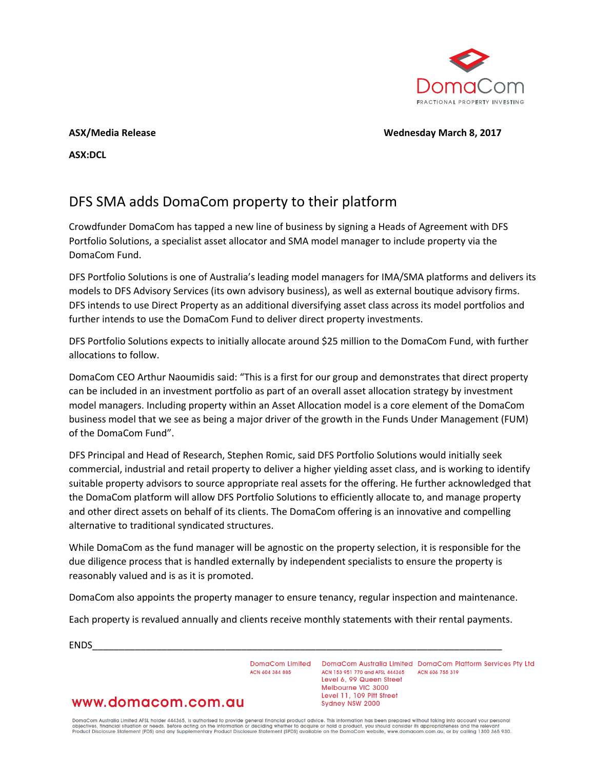

**ASX/Media Release Wednesday March 8, 2017**

**ASX:DCL**

# DFS SMA adds DomaCom property to their platform

Crowdfunder DomaCom has tapped a new line of business by signing a Heads of Agreement with DFS Portfolio Solutions, a specialist asset allocator and SMA model manager to include property via the DomaCom Fund.

DFS Portfolio Solutions is one of Australia's leading model managers for IMA/SMA platforms and delivers its models to DFS Advisory Services (its own advisory business), as well as external boutique advisory firms. DFS intends to use Direct Property as an additional diversifying asset class across its model portfolios and further intends to use the DomaCom Fund to deliver direct property investments.

DFS Portfolio Solutions expects to initially allocate around \$25 million to the DomaCom Fund, with further allocations to follow.

DomaCom CEO Arthur Naoumidis said: "This is a first for our group and demonstrates that direct property can be included in an investment portfolio as part of an overall asset allocation strategy by investment model managers. Including property within an Asset Allocation model is a core element of the DomaCom business model that we see as being a major driver of the growth in the Funds Under Management (FUM) of the DomaCom Fund".

DFS Principal and Head of Research, Stephen Romic, said DFS Portfolio Solutions would initially seek commercial, industrial and retail property to deliver a higher yielding asset class, and is working to identify suitable property advisors to source appropriate real assets for the offering. He further acknowledged that the DomaCom platform will allow DFS Portfolio Solutions to efficiently allocate to, and manage property and other direct assets on behalf of its clients. The DomaCom offering is an innovative and compelling alternative to traditional syndicated structures.

While DomaCom as the fund manager will be agnostic on the property selection, it is responsible for the due diligence process that is handled externally by independent specialists to ensure the property is reasonably valued and is as it is promoted.

DomaCom also appoints the property manager to ensure tenancy, regular inspection and maintenance.

Each property is revalued annually and clients receive monthly statements with their rental payments.

ENDS\_\_\_\_\_\_\_\_\_\_\_\_\_\_\_\_\_\_\_\_\_\_\_\_\_\_\_\_\_\_\_\_\_\_\_\_\_\_\_\_\_\_\_\_\_\_\_\_\_\_\_\_\_\_\_\_\_\_\_\_\_\_\_\_\_\_\_\_\_\_\_\_\_\_\_\_\_

ACN 604 384 885

DomaCom Limited DomaCom Australia Limited DomaCom Platform Services Pty Ltd ACN 153 951 770 and AFSL 444365 ACN 606 755 319 Level 6, 99 Queen Street Melbourne VIC 3000 Level 11, 109 Pitt Street Sydney NSW 2000

## www.domacom.com.au

DomaCom Australia Limited AFSL holder 444365, is authorised to provide general financial product advice. This information has been prepared without taking into account your personal<br>objectives, financial situation or needs